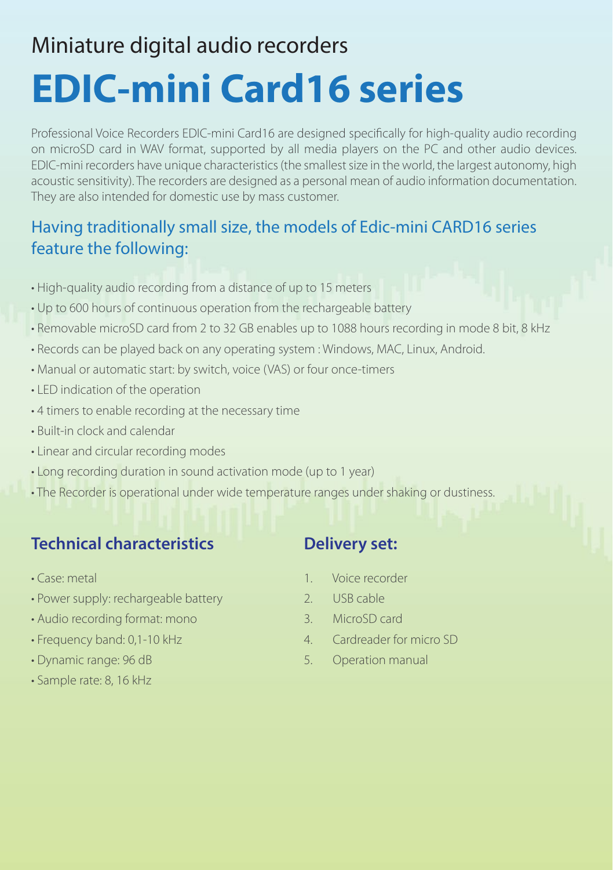# **EDIC-mini Card16 series** Miniature digital audio recorders

Professional Voice Recorders EDIC-mini Card16 are designed specifically for high-quality audio recording on microSD card in WAV format, supported by all media players on the PC and other audio devices. EDIC-mini recorders have unique characteristics (the smallest size in the world, the largest autonomy, high acoustic sensitivity). The recorders are designed as a personal mean of audio information documentation. They are also intended for domestic use by mass customer.

### Having traditionally small size, the models of Edic-mini CARD16 series feature the following:

- High-quality audio recording from a distance of up to 15 meters
- Up to 600 hours of continuous operation from the rechargeable battery
- Removable microSD card from 2 to 32 GB enables up to 1088 hours recording in mode 8 bit, 8 kHz
- Records can be played back on any operating system : Windows, MAC, Linux, Android.
- Manual or automatic start: by switch, voice (VAS) or four once-timers
- LED indication of the operation
- 4 timers to enable recording at the necessary time
- Built-in clock and calendar
- Linear and circular recording modes
- Long recording duration in sound activation mode (up to 1 year)
- The Recorder is operational under wide temperature ranges under shaking or dustiness.

### **Technical characteristics**

- Case: metal
- Power supply: rechargeable battery
- Audio recording format: mono
- Frequency band: 0,1-10 kHz
- Dynamic range: 96 dB
- Sample rate: 8, 16 kHz

#### **Delivery set:**

- 1 Voice recorder
- 2. USB cable
- 3. MicroSD card
- 4. Cardreader for micro SD
- 5. Operation manual